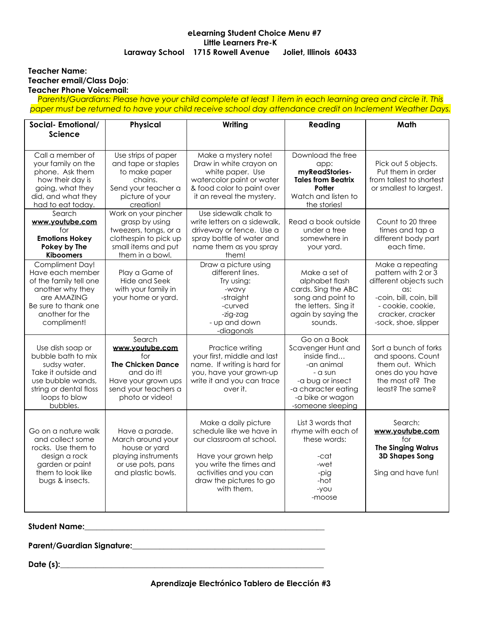# **eLearning Student Choice Menu #7 Little Learners Pre-K Laraway School 1715 Rowell Avenue Joliet, Illinois 60433**

#### **Teacher Name: Teacher email/Class Dojo**: **Teacher Phone Voicemail:**

Parents/Guardians: Please have your child complete at least 1 item in each learning area and circle it. This *paper must be returned to have your child receive school day attendance credit on Inclement Weather Days.*

| Social-Emotional/<br><b>Science</b>                                                                                                                        | Physical                                                                                                                                     | Writing                                                                                                                                                                                            | Reading                                                                                                                                                        | Math                                                                                                                                                                 |
|------------------------------------------------------------------------------------------------------------------------------------------------------------|----------------------------------------------------------------------------------------------------------------------------------------------|----------------------------------------------------------------------------------------------------------------------------------------------------------------------------------------------------|----------------------------------------------------------------------------------------------------------------------------------------------------------------|----------------------------------------------------------------------------------------------------------------------------------------------------------------------|
|                                                                                                                                                            |                                                                                                                                              |                                                                                                                                                                                                    |                                                                                                                                                                |                                                                                                                                                                      |
| Call a member of<br>your family on the<br>phone. Ask them<br>how their day is<br>going, what they<br>did, and what they<br>had to eat today.               | Use strips of paper<br>and tape or staples<br>to make paper<br>chains.<br>Send your teacher a<br>picture of your<br>creation!                | Make a mystery note!<br>Draw in white crayon on<br>white paper. Use<br>watercolor paint or water<br>& food color to paint over<br>it an reveal the mystery.                                        | Download the free<br>app:<br>myReadStories-<br><b>Tales from Beatrix</b><br>Potter<br>Watch and listen to<br>the stories!                                      | Pick out 5 objects.<br>Put them in order<br>from tallest to shortest<br>or smallest to largest.                                                                      |
| Search<br>www.youtube.com<br>for<br><b>Emotions Hokey</b><br>Pokey by The<br><b>Kiboomers</b>                                                              | Work on your pincher<br>grasp by using<br>tweezers, tongs, or a<br>clothespin to pick up<br>small items and put<br>them in a bowl.           | Use sidewalk chalk to<br>write letters on a sidewalk.<br>driveway or fence. Use a<br>spray bottle of water and<br>name them as you spray<br>them!                                                  | Read a book outside<br>under a tree<br>somewhere in<br>your yard.                                                                                              | Count to 20 three<br>times and tap a<br>different body part<br>each time.                                                                                            |
| Compliment Day!<br>Have each member<br>of the family tell one<br>another why they<br>are AMAZING<br>Be sure to thank one<br>another for the<br>compliment! | Play a Game of<br>Hide and Seek<br>with your family in<br>your home or yard.                                                                 | Draw a picture using<br>different lines.<br>Try using:<br>-wavy<br>-straight<br>-curved<br>-zig-zag<br>- up and down<br>-diagonals                                                                 | Make a set of<br>alphabet flash<br>cards. Sing the ABC<br>song and point to<br>the letters. Sing it<br>again by saying the<br>sounds.                          | Make a repeating<br>pattern with 2 or 3<br>different objects such<br>as:<br>-coin, bill, coin, bill<br>- cookie, cookie,<br>cracker, cracker<br>-sock, shoe, slipper |
| Use dish soap or<br>bubble bath to mix<br>sudsy water.<br>Take it outside and<br>use bubble wands.<br>string or dental floss<br>loops to blow<br>bubbles.  | Search<br>www.youtube.com<br>for<br><b>The Chicken Dance</b><br>and do it!<br>Have your grown ups<br>send your teachers a<br>photo or video! | Practice writing<br>your first, middle and last<br>name. If writing is hard for<br>you, have your grown-up<br>write it and you can trace<br>over it.                                               | Go on a Book<br>Scavenger Hunt and<br>inside find<br>-an animal<br>- a sun<br>-a bug or insect<br>-a character eating<br>-a bike or wagon<br>-someone sleeping | Sort a bunch of forks<br>and spoons. Count<br>them out. Which<br>ones do you have<br>the most of? The<br>least? The same?                                            |
| Go on a nature walk<br>and collect some<br>rocks. Use them to<br>design a rock<br>garden or paint<br>them to look like<br>bugs & insects.                  | Have a parade.<br>March around your<br>house or yard<br>playing instruments<br>or use pots, pans<br>and plastic bowls.                       | Make a daily picture<br>schedule like we have in<br>our classroom at school.<br>Have your grown help<br>you write the times and<br>activities and you can<br>draw the pictures to go<br>with them. | List 3 words that<br>rhyme with each of<br>these words:<br>-cat<br>-wet<br>-pig<br>-hot<br>-you<br>-moose                                                      | Search:<br>www.voutube.com<br>for<br><b>The Singing Walrus</b><br><b>3D Shapes Song</b><br>Sing and have fun!                                                        |

**Student Name:\_\_\_\_\_\_\_\_\_\_\_\_\_\_\_\_\_\_\_\_\_\_\_\_\_\_\_\_\_\_\_\_\_\_\_\_\_\_\_\_\_\_\_\_\_\_\_\_\_\_\_\_\_\_\_\_\_\_\_\_\_**

**Parent/Guardian Signature:\_\_\_\_\_\_\_\_\_\_\_\_\_\_\_\_\_\_\_\_\_\_\_\_\_\_\_\_\_\_\_\_\_\_\_\_\_\_\_\_\_\_\_\_\_\_\_\_\_**

**Date (s):\_\_\_\_\_\_\_\_\_\_\_\_\_\_\_\_\_\_\_\_\_\_\_\_\_\_\_\_\_\_\_\_\_\_\_\_\_\_\_\_\_\_\_\_\_\_\_\_\_\_\_\_\_\_\_\_\_\_\_\_\_\_\_\_\_\_\_**